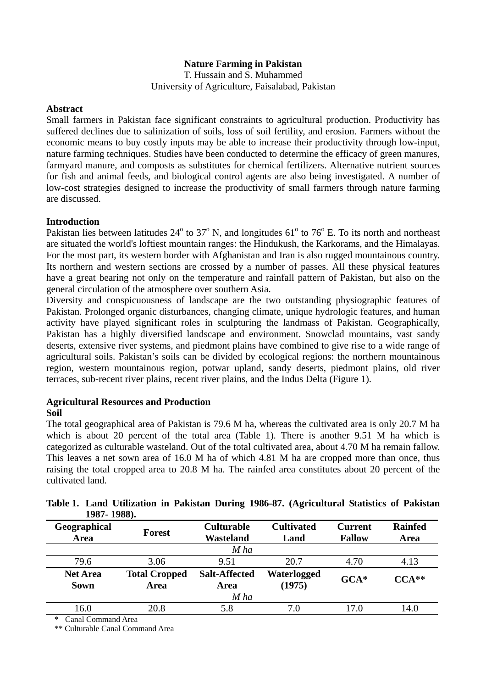# **Nature Farming in Pakistan**

T. Hussain and S. Muhammed University of Agriculture, Faisalabad, Pakistan

#### **Abstract**

Small farmers in Pakistan face significant constraints to agricultural production. Productivity has suffered declines due to salinization of soils, loss of soil fertility, and erosion. Farmers without the economic means to buy costly inputs may be able to increase their productivity through low-input, nature farming techniques. Studies have been conducted to determine the efficacy of green manures, farmyard manure, and composts as substitutes for chemical fertilizers. Alternative nutrient sources for fish and animal feeds, and biological control agents are also being investigated. A number of low-cost strategies designed to increase the productivity of small farmers through nature farming are discussed.

## **Introduction**

Pakistan lies between latitudes  $24^{\circ}$  to  $37^{\circ}$  N, and longitudes  $61^{\circ}$  to  $76^{\circ}$  E. To its north and northeast are situated the world's loftiest mountain ranges: the Hindukush, the Karkorams, and the Himalayas. For the most part, its western border with Afghanistan and Iran is also rugged mountainous country. Its northern and western sections are crossed by a number of passes. All these physical features have a great bearing not only on the temperature and rainfall pattern of Pakistan, but also on the general circulation of the atmosphere over southern Asia.

Diversity and conspicuousness of landscape are the two outstanding physiographic features of Pakistan. Prolonged organic disturbances, changing climate, unique hydrologic features, and human activity have played significant roles in sculpturing the landmass of Pakistan. Geographically, Pakistan has a highly diversified landscape and environment. Snowclad mountains, vast sandy deserts, extensive river systems, and piedmont plains have combined to give rise to a wide range of agricultural soils. Pakistan's soils can be divided by ecological regions: the northern mountainous region, western mountainous region, potwar upland, sandy deserts, piedmont plains, old river terraces, sub-recent river plains, recent river plains, and the Indus Delta (Figure 1).

# **Agricultural Resources and Production**

## **Soil**

The total geographical area of Pakistan is 79.6 M ha, whereas the cultivated area is only 20.7 M ha which is about 20 percent of the total area (Table 1). There is another 9.51 M ha which is categorized as culturable wasteland. Out of the total cultivated area, about 4.70 M ha remain fallow. This leaves a net sown area of 16.0 M ha of which 4.81 M ha are cropped more than once, thus raising the total cropped area to 20.8 M ha. The rainfed area constitutes about 20 percent of the cultivated land.

| 1701-17001.                    |                              |                                       |                           |                                 |                        |
|--------------------------------|------------------------------|---------------------------------------|---------------------------|---------------------------------|------------------------|
| Geographical<br>Area           | Forest                       | <b>Culturable</b><br><b>Wasteland</b> | <b>Cultivated</b><br>Land | <b>Current</b><br><b>Fallow</b> | <b>Rainfed</b><br>Area |
|                                |                              | $M$ ha                                |                           |                                 |                        |
| 79.6                           | 3.06                         | 9.51                                  | 20.7                      | 4.70                            | 4.13                   |
| <b>Net Area</b><br><b>Sown</b> | <b>Total Cropped</b><br>Area | <b>Salt-Affected</b><br>Area          | Waterlogged<br>(1975)     | $GCA*$                          | $CCA**$                |
|                                |                              | M ha                                  |                           |                                 |                        |
| 16.0                           | 20.8                         | 5.8                                   | 7.0                       | 17.0                            | 14.0                   |
|                                |                              |                                       |                           |                                 |                        |

**Table 1. Land Utilization in Pakistan During 1986-87. (Agricultural Statistics of Pakistan 1987- 1988).** 

\* Canal Command Area

\*\* Culturable Canal Command Area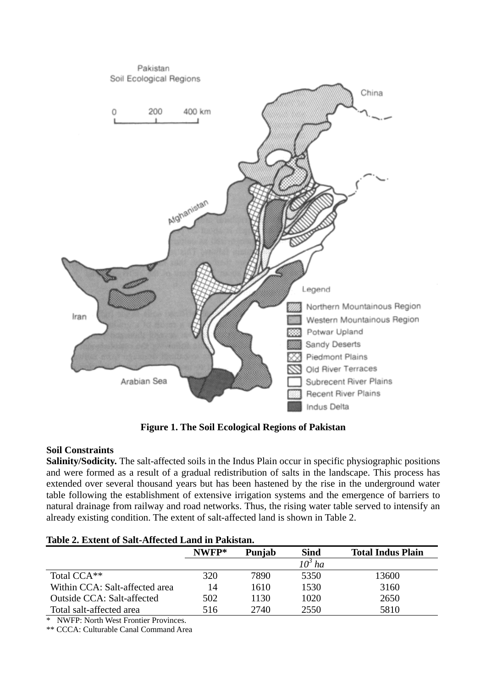

**Figure 1. The Soil Ecological Regions of Pakistan** 

# **Soil Constraints**

**Salinity/Sodicity.** The salt-affected soils in the Indus Plain occur in specific physiographic positions and were formed as a result of a gradual redistribution of salts in the landscape. This process has extended over several thousand years but has been hastened by the rise in the underground water table following the establishment of extensive irrigation systems and the emergence of barriers to natural drainage from railway and road networks. Thus, the rising water table served to intensify an already existing condition. The extent of salt-affected land is shown in Table 2.

|  | Table 2. Extent of Salt-Affected Land in Pakistan. |  |
|--|----------------------------------------------------|--|
|  |                                                    |  |

| Tavit 2. Exitht of Bah-Thittitu Lanu III I ambian. |       |        |                    |                          |  |
|----------------------------------------------------|-------|--------|--------------------|--------------------------|--|
|                                                    | NWFP* | Punjab | <b>Sind</b>        | <b>Total Indus Plain</b> |  |
|                                                    |       |        | 10 <sup>3</sup> ha |                          |  |
| Total CCA <sup>**</sup>                            | 320   | 7890   | 5350               | 13600                    |  |
| Within CCA: Salt-affected area                     | 14    | 1610   | 1530               | 3160                     |  |
| <b>Outside CCA: Salt-affected</b>                  | 502   | 1130   | 1020               | 2650                     |  |
| Total salt-affected area                           | 516   | 2740   | 2550               | 5810                     |  |

\* NWFP: North West Frontier Provinces.

\*\* CCCA: Culturable Canal Command Area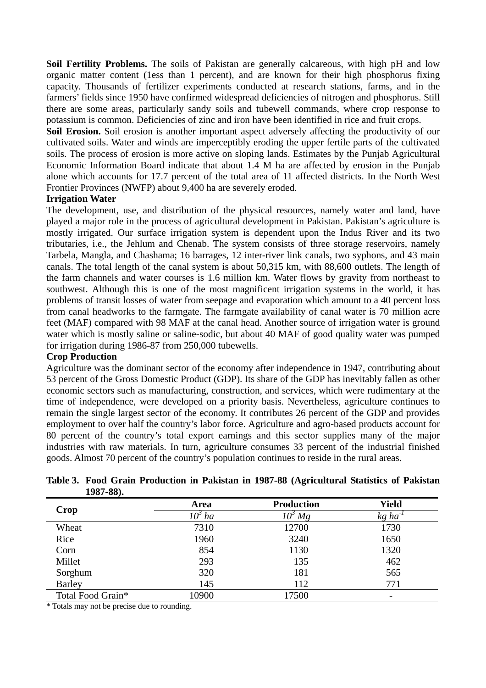**Soil Fertility Problems.** The soils of Pakistan are generally calcareous, with high pH and low organic matter content (1ess than 1 percent), and are known for their high phosphorus fixing capacity. Thousands of fertilizer experiments conducted at research stations, farms, and in the farmers' fields since 1950 have confirmed widespread deficiencies of nitrogen and phosphorus. Still there are some areas, particularly sandy soils and tubewell commands, where crop response to potassium is common. Deficiencies of zinc and iron have been identified in rice and fruit crops.

Soil Erosion. Soil erosion is another important aspect adversely affecting the productivity of our cultivated soils. Water and winds are imperceptibly eroding the upper fertile parts of the cultivated soils. The process of erosion is more active on sloping lands. Estimates by the Punjab Agricultural Economic Information Board indicate that about 1.4 M ha are affected by erosion in the Punjab alone which accounts for 17.7 percent of the total area of 11 affected districts. In the North West Frontier Provinces (NWFP) about 9,400 ha are severely eroded.

# **Irrigation Water**

The development, use, and distribution of the physical resources, namely water and land, have played a major role in the process of agricultural development in Pakistan. Pakistan's agriculture is mostly irrigated. Our surface irrigation system is dependent upon the Indus River and its two tributaries, i.e., the Jehlum and Chenab. The system consists of three storage reservoirs, namely Tarbela, Mangla, and Chashama; 16 barrages, 12 inter-river link canals, two syphons, and 43 main canals. The total length of the canal system is about 50,315 km, with 88,600 outlets. The length of the farm channels and water courses is 1.6 million km. Water flows by gravity from northeast to southwest. Although this is one of the most magnificent irrigation systems in the world, it has problems of transit losses of water from seepage and evaporation which amount to a 40 percent loss from canal headworks to the farmgate. The farmgate availability of canal water is 70 million acre feet (MAF) compared with 98 MAF at the canal head. Another source of irrigation water is ground water which is mostly saline or saline-sodic, but about 40 MAF of good quality water was pumped for irrigation during 1986-87 from 250,000 tubewells.

## **Crop Production**

Agriculture was the dominant sector of the economy after independence in 1947, contributing about 53 percent of the Gross Domestic Product (GDP). Its share of the GDP has inevitably fallen as other economic sectors such as manufacturing, construction, and services, which were rudimentary at the time of independence, were developed on a priority basis. Nevertheless, agriculture continues to remain the single largest sector of the economy. It contributes 26 percent of the GDP and provides employment to over half the country's labor force. Agriculture and agro-based products account for 80 percent of the country's total export earnings and this sector supplies many of the major industries with raw materials. In turn, agriculture consumes 33 percent of the industrial finished goods. Almost 70 percent of the country's population continues to reside in the rural areas.

| $1701$ 00%        |                    |                    |                          |
|-------------------|--------------------|--------------------|--------------------------|
| <b>Crop</b>       | Area               | <b>Production</b>  | <b>Yield</b>             |
|                   | 10 <sup>3</sup> ha | $10^{\circ}$<br>Mg | kg ha                    |
| Wheat             | 7310               | 12700              | 1730                     |
| Rice              | 1960               | 3240               | 1650                     |
| Corn              | 854                | 1130               | 1320                     |
| Millet            | 293                | 135                | 462                      |
| Sorghum           | 320                | 181                | 565                      |
| <b>Barley</b>     | 145                | 112                | 771                      |
| Total Food Grain* | 10900              | 17500              | $\overline{\phantom{0}}$ |

**Table 3. Food Grain Production in Pakistan in 1987-88 (Agricultural Statistics of Pakistan 1987-88).** 

\* Totals may not be precise due to rounding.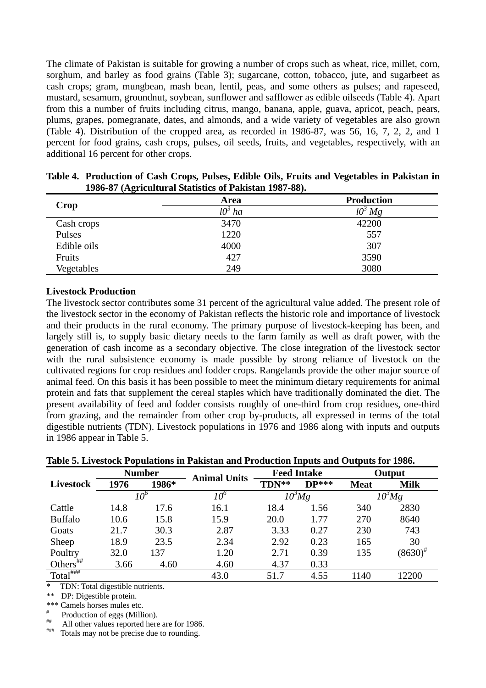The climate of Pakistan is suitable for growing a number of crops such as wheat, rice, millet, corn, sorghum, and barley as food grains (Table 3); sugarcane, cotton, tobacco, jute, and sugarbeet as cash crops; gram, mungbean, mash bean, lentil, peas, and some others as pulses; and rapeseed, mustard, sesamum, groundnut, soybean, sunflower and safflower as edible oilseeds (Table 4). Apart from this a number of fruits including citrus, mango, banana, apple, guava, apricot, peach, pears, plums, grapes, pomegranate, dates, and almonds, and a wide variety of vegetables are also grown (Table 4). Distribution of the cropped area, as recorded in 1986-87, was 56, 16, 7, 2, 2, and 1 percent for food grains, cash crops, pulses, oil seeds, fruits, and vegetables, respectively, with an additional 16 percent for other crops.

| Crop        | Area                  | <b>Production</b>       |
|-------------|-----------------------|-------------------------|
|             | lО <sup>s</sup><br>ha | $l0$ <sup>2</sup><br>Mg |
| Cash crops  | 3470                  | 42200                   |
| Pulses      | 1220                  | 557                     |
| Edible oils | 4000                  | 307                     |
| Fruits      | 427                   | 3590                    |
| Vegetables  | 249                   | 3080                    |

**Table 4. Production of Cash Crops, Pulses, Edible Oils, Fruits and Vegetables in Pakistan in 1986-87 (Agricultural Statistics of Pakistan 1987-88).** 

#### **Livestock Production**

The livestock sector contributes some 31 percent of the agricultural value added. The present role of the livestock sector in the economy of Pakistan reflects the historic role and importance of livestock and their products in the rural economy. The primary purpose of livestock-keeping has been, and largely still is, to supply basic dietary needs to the farm family as well as draft power, with the generation of cash income as a secondary objective. The close integration of the livestock sector with the rural subsistence economy is made possible by strong reliance of livestock on the cultivated regions for crop residues and fodder crops. Rangelands provide the other major source of animal feed. On this basis it has been possible to meet the minimum dietary requirements for animal protein and fats that supplement the cereal staples which have traditionally dominated the diet. The present availability of feed and fodder consists roughly of one-third from crop residues, one-third from grazing, and the remainder from other crop by-products, all expressed in terms of the total digestible nutrients (TDN). Livestock populations in 1976 and 1986 along with inputs and outputs in 1986 appear in Table 5.

| Table 5. Livestock Populations in Pakistan and Production Inputs and Outputs for 1986. |                                   |                   |
|----------------------------------------------------------------------------------------|-----------------------------------|-------------------|
| $N$ ----- $h$                                                                          | $\Gamma_{\alpha\alpha}$ d Intolic | $\Omega$ --4----4 |

|                                                 |      | <b>Number</b> | <b>Animal Units</b> |       | <b>Feed Intake</b> |             | Output               |
|-------------------------------------------------|------|---------------|---------------------|-------|--------------------|-------------|----------------------|
| Livestock                                       | 1976 | 1986*         |                     | TDN** | $DP***$            | <b>Meat</b> | <b>Milk</b>          |
|                                                 |      | 10°           |                     |       | $10^3$ Mg          |             | $10^3$ Mg            |
| Cattle                                          | 14.8 | 17.6          | 16.1                | 18.4  | 1.56               | 340         | 2830                 |
| <b>Buffalo</b>                                  | 10.6 | 15.8          | 15.9                | 20.0  | 1.77               | 270         | 8640                 |
| Goats                                           | 21.7 | 30.3          | 2.87                | 3.33  | 0.27               | 230         | 743                  |
| Sheep                                           | 18.9 | 23.5          | 2.34                | 2.92  | 0.23               | 165         | 30                   |
| Poultry                                         | 32.0 | 137           | 1.20                | 2.71  | 0.39               | 135         | $(8630)^{\text{\#}}$ |
| Others $\overset{\text{\tiny{}{}}}{\leftarrow}$ | 3.66 | 4.60          | 4.60                | 4.37  | 0.33               |             |                      |
| $Total^{\overline{t}$                           |      |               | 43.0                | 51.7  | 4.55               | 1140        | 12200                |

\* TDN: Total digestible nutrients.

\*\* DP: Digestible protein.

\*\*\* Camels horses mules etc.

# Production of eggs (Million).<br>
# All other values reported here are for 1986.<br>
# Totals may not be precise due to rounding.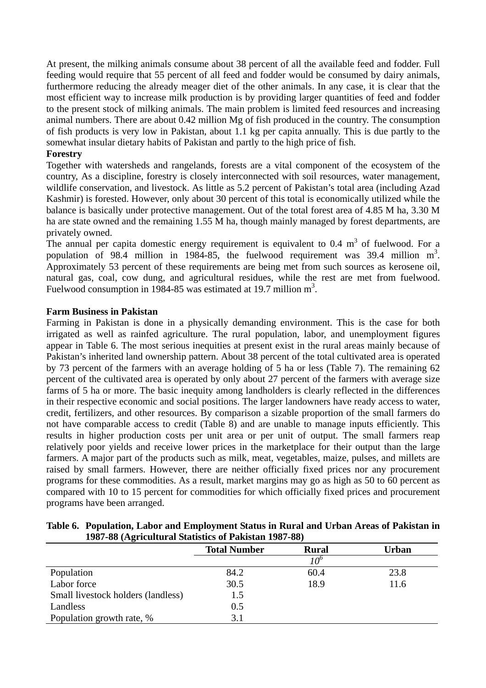At present, the milking animals consume about 38 percent of all the available feed and fodder. Full feeding would require that 55 percent of all feed and fodder would be consumed by dairy animals, furthermore reducing the already meager diet of the other animals. In any case, it is clear that the most efficient way to increase milk production is by providing larger quantities of feed and fodder to the present stock of milking animals. The main problem is limited feed resources and increasing animal numbers. There are about 0.42 million Mg of fish produced in the country. The consumption of fish products is very low in Pakistan, about 1.1 kg per capita annually. This is due partly to the somewhat insular dietary habits of Pakistan and partly to the high price of fish.

## **Forestry**

Together with watersheds and rangelands, forests are a vital component of the ecosystem of the country, As a discipline, forestry is closely interconnected with soil resources, water management, wildlife conservation, and livestock. As little as 5.2 percent of Pakistan's total area (including Azad Kashmir) is forested. However, only about 30 percent of this total is economically utilized while the balance is basically under protective management. Out of the total forest area of 4.85 M ha, 3.30 M ha are state owned and the remaining 1.55 M ha, though mainly managed by forest departments, are privately owned.

The annual per capita domestic energy requirement is equivalent to  $0.4 \text{ m}^3$  of fuelwood. For a population of 98.4 million in 1984-85, the fuelwood requirement was 39.4 million  $m^3$ . Approximately 53 percent of these requirements are being met from such sources as kerosene oil, natural gas, coal, cow dung, and agricultural residues, while the rest are met from fuelwood. Fuelwood consumption in 1984-85 was estimated at 19.7 million  $m^3$ .

## **Farm Business in Pakistan**

Farming in Pakistan is done in a physically demanding environment. This is the case for both irrigated as well as rainfed agriculture. The rural population, labor, and unemployment figures appear in Table 6. The most serious inequities at present exist in the rural areas mainly because of Pakistan's inherited land ownership pattern. About 38 percent of the total cultivated area is operated by 73 percent of the farmers with an average holding of 5 ha or less (Table 7). The remaining 62 percent of the cultivated area is operated by only about 27 percent of the farmers with average size farms of 5 ha or more. The basic inequity among landholders is clearly reflected in the differences in their respective economic and social positions. The larger landowners have ready access to water, credit, fertilizers, and other resources. By comparison a sizable proportion of the small farmers do not have comparable access to credit (Table 8) and are unable to manage inputs efficiently. This results in higher production costs per unit area or per unit of output. The small farmers reap relatively poor yields and receive lower prices in the marketplace for their output than the large farmers. A major part of the products such as milk, meat, vegetables, maize, pulses, and millets are raised by small farmers. However, there are neither officially fixed prices nor any procurement programs for these commodities. As a result, market margins may go as high as 50 to 60 percent as compared with 10 to 15 percent for commodities for which officially fixed prices and procurement programs have been arranged.

| Table 6. Population, Labor and Employment Status in Rural and Urban Areas of Pakistan in |
|------------------------------------------------------------------------------------------|
| 1987-88 (Agricultural Statistics of Pakistan 1987-88)                                    |

| $1207$ 00 $(11)$ interference but into the $1207$ 00 |                     |              |       |  |  |
|------------------------------------------------------|---------------------|--------------|-------|--|--|
|                                                      | <b>Total Number</b> | <b>Rural</b> | Urban |  |  |
|                                                      |                     | י∩י          |       |  |  |
| Population                                           | 84.2                | 60.4         | 23.8  |  |  |
| Labor force                                          | 30.5                | 18.9         | 11.6  |  |  |
| Small livestock holders (landless)                   | 1.5                 |              |       |  |  |
| Landless                                             | 0.5                 |              |       |  |  |
| Population growth rate, %                            | 3.1                 |              |       |  |  |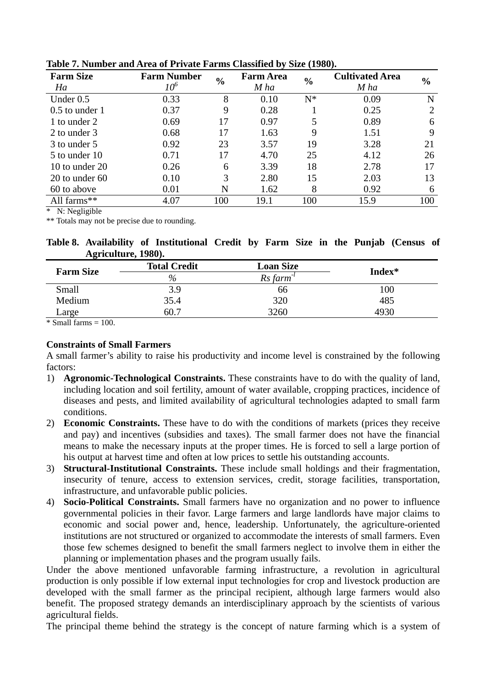| <b>Farm Size</b><br>Ha | <b>Farm Number</b><br>10° | $\frac{6}{6}$ | <b>Farm Area</b><br>M ha | $\frac{0}{0}$ | <b>Cultivated Area</b><br>M ha | $\frac{6}{6}$ |
|------------------------|---------------------------|---------------|--------------------------|---------------|--------------------------------|---------------|
| Under $0.5$            | 0.33                      | 8             | 0.10                     | $N^*$         | 0.09                           | N             |
| $0.5$ to under 1       | 0.37                      | 9             | 0.28                     |               | 0.25                           | 2             |
| 1 to under 2           | 0.69                      | 17            | 0.97                     | 5             | 0.89                           | 6             |
| 2 to under 3           | 0.68                      | 17            | 1.63                     | 9             | 1.51                           | 9             |
| 3 to under 5           | 0.92                      | 23            | 3.57                     | 19            | 3.28                           | 21            |
| 5 to under 10          | 0.71                      | 17            | 4.70                     | 25            | 4.12                           | 26            |
| 10 to under $20$       | 0.26                      | 6             | 3.39                     | 18            | 2.78                           | 17            |
| 20 to under $60$       | 0.10                      | 3             | 2.80                     | 15            | 2.03                           | 13            |
| 60 to above            | 0.01                      | N             | 1.62                     | 8             | 0.92                           | 6             |
| All farms**            | 4.07                      | 100           | 19.1                     | 100           | 15.9                           | 100           |

**Table 7. Number and Area of Private Farms Classified by Size (1980).** 

\* N: Negligible

\*\* Totals may not be precise due to rounding.

**Table 8. Availability of Institutional Credit by Farm Size in the Punjab (Census of Agriculture, 1980).** 

| <b>Farm Size</b> | <b>Total Credit</b> | <b>Loan Size</b> | Index* |
|------------------|---------------------|------------------|--------|
|                  | $\%$                | Rs farm          |        |
| Small            | 3.9                 | 66               | 100    |
| Medium           | 35.4                | 320              | 485    |
| Large            | 60.7                | 3260             | 4930   |

 $\overline{\text{* Small farms}} = 100$ 

# **Constraints of Small Farmers**

A small farmer's ability to raise his productivity and income level is constrained by the following factors:

- 1) **Agronomic-Technological Constraints.** These constraints have to do with the quality of land, including location and soil fertility, amount of water available, cropping practices, incidence of diseases and pests, and limited availability of agricultural technologies adapted to small farm conditions.
- 2) **Economic Constraints.** These have to do with the conditions of markets (prices they receive and pay) and incentives (subsidies and taxes). The small farmer does not have the financial means to make the necessary inputs at the proper times. He is forced to sell a large portion of his output at harvest time and often at low prices to settle his outstanding accounts.
- 3) **Structural-Institutional Constraints.** These include small holdings and their fragmentation, insecurity of tenure, access to extension services, credit, storage facilities, transportation, infrastructure, and unfavorable public policies.
- 4) **Socio-Political Constraints.** Small farmers have no organization and no power to influence governmental policies in their favor. Large farmers and large landlords have major claims to economic and social power and, hence, leadership. Unfortunately, the agriculture-oriented institutions are not structured or organized to accommodate the interests of small farmers. Even those few schemes designed to benefit the small farmers neglect to involve them in either the planning or implementation phases and the program usually fails.

Under the above mentioned unfavorable farming infrastructure, a revolution in agricultural production is only possible if low external input technologies for crop and livestock production are developed with the small farmer as the principal recipient, although large farmers would also benefit. The proposed strategy demands an interdisciplinary approach by the scientists of various agricultural fields.

The principal theme behind the strategy is the concept of nature farming which is a system of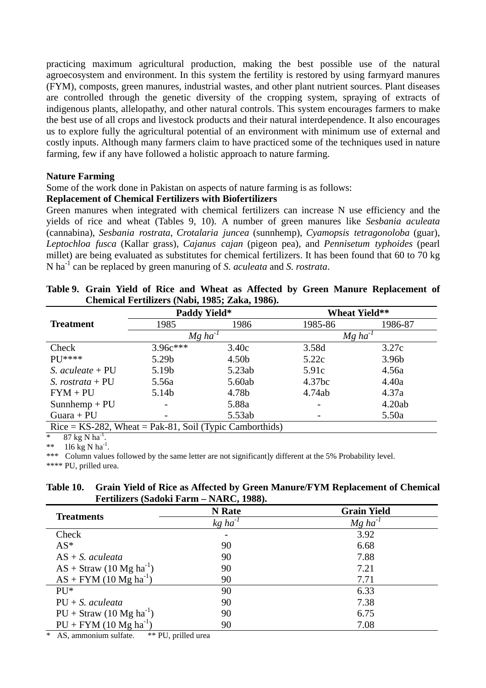practicing maximum agricultural production, making the best possible use of the natural agroecosystem and environment. In this system the fertility is restored by using farmyard manures (FYM), composts, green manures, industrial wastes, and other plant nutrient sources. Plant diseases are controlled through the genetic diversity of the cropping system, spraying of extracts of indigenous plants, allelopathy, and other natural controls. This system encourages farmers to make the best use of all crops and livestock products and their natural interdependence. It also encourages us to explore fully the agricultural potential of an environment with minimum use of external and costly inputs. Although many farmers claim to have practiced some of the techniques used in nature farming, few if any have followed a holistic approach to nature farming.

## **Nature Farming**

Some of the work done in Pakistan on aspects of nature farming is as follows:

#### **Replacement of Chemical Fertilizers with Biofertilizers**

Green manures when integrated with chemical fertilizers can increase N use efficiency and the yields of rice and wheat (Tables 9, 10). A number of green manures like *Sesbania aculeata* (cannabina), *Sesbania rostrata*, *Crotalaria juncea* (sunnhemp), *Cyamopsis tetragonoloba* (guar), *Leptochloa fusca* (Kallar grass), *Cajanus cajan* (pigeon pea), and *Pennisetum typhoides* (pearl millet) are being evaluated as substitutes for chemical fertilizers. It has been found that 60 to 70 kg N ha-1 can be replaced by green manuring of *S. aculeata* and *S. rostrata*.

|                                                            | Chenneal I et ampels (1 april 1700), Lana, 1700). |                   |                       |                      |
|------------------------------------------------------------|---------------------------------------------------|-------------------|-----------------------|----------------------|
|                                                            | <b>Paddy Yield*</b>                               |                   |                       | <b>Wheat Yield**</b> |
| <b>Treatment</b>                                           | 1985                                              | 1986              | 1985-86               | 1986-87              |
|                                                            | $Mg$ ha <sup>-1</sup>                             |                   | $Mg$ ha <sup>-1</sup> |                      |
| Check                                                      | $3.96c***$                                        | 3.40c             | 3.58d                 | 3.27c                |
| $PI^{****}$                                                | 5.29b                                             | 4.50 <sub>b</sub> | 5.22c                 | 3.96 <sub>b</sub>    |
| S. aculeate $+PU$                                          | 5.19b                                             | 5.23ab            | 5.91c                 | 4.56a                |
| S. rostrata + $PU$                                         | 5.56a                                             | 5.60ab            | 4.37bc                | 4.40a                |
| $FYM + PU$                                                 | 5.14b                                             | 4.78b             | 4.74ab                | 4.37a                |
| $Sunnhemp + PU$                                            |                                                   | 5.88a             |                       | 4.20ab               |
| Guara + $PU$                                               |                                                   | 5.53ab            |                       | 5.50a                |
| $Rice = KS-282$ , Wheat = Pak-81, Soil (Typic Camborthids) |                                                   |                   |                       |                      |

|  |  |  |  |                                                |  | Table 9. Grain Yield of Rice and Wheat as Affected by Green Manure Replacement of |  |
|--|--|--|--|------------------------------------------------|--|-----------------------------------------------------------------------------------|--|
|  |  |  |  | Chemical Fertilizers (Nabi, 1985; Zaka, 1986). |  |                                                                                   |  |

 $87$  kg N ha<sup>-1</sup>

\*\*  $116$  kg N ha<sup>-1</sup>.

\*\*\* Column values followed by the same letter are not significantly different at the 5% Probability level. \*\*\*\* PU, prilled urea.

# **Table 10. Grain Yield of Rice as Affected by Green Manure/FYM Replacement of Chemical Fertilizers (Sadoki Farm – NARC, 1988).**

| <b>Treatments</b>            | <b>N</b> Rate         | <b>Grain Yield</b>    |
|------------------------------|-----------------------|-----------------------|
|                              | $kg$ ha <sup>-1</sup> | $Mg$ ha <sup>-1</sup> |
| Check                        |                       | 3.92                  |
| $AS^*$                       | 90                    | 6.68                  |
| $AS + S$ . aculeata          | 90                    | 7.88                  |
| $AS + Straw (10 Mg ha-1)$    | 90                    | 7.21                  |
| $AS + FYM (10 Mg ha-1)$      | 90                    | 7.71                  |
| $PU^*$                       | 90                    | 6.33                  |
| $PU + S$ , aculeata          | 90                    | 7.38                  |
| $PU + Straw (10 Mg ha^{-1})$ | 90                    | 6.75                  |
| $PU + FYM (10 Mg ha^{-1})$   | 90                    | 7.08                  |

\* AS, ammonium sulfate. \*\* PU, prilled urea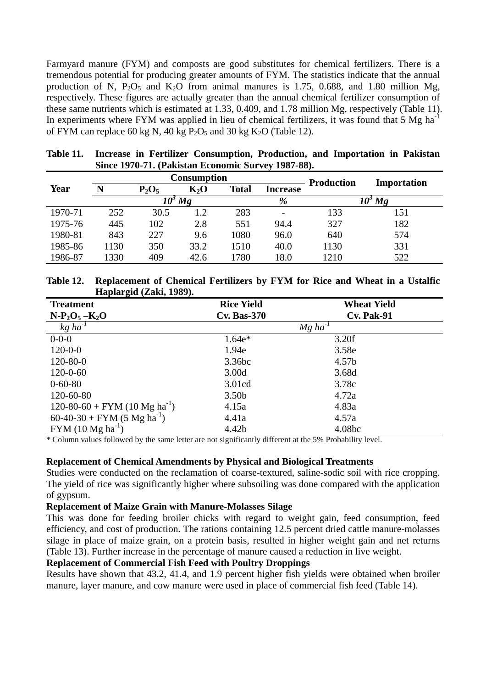Farmyard manure (FYM) and composts are good substitutes for chemical fertilizers. There is a tremendous potential for producing greater amounts of FYM. The statistics indicate that the annual production of N,  $P_2O_5$  and  $K_2O$  from animal manures is 1.75, 0.688, and 1.80 million Mg, respectively. These figures are actually greater than the annual chemical fertilizer consumption of these same nutrients which is estimated at 1.33, 0.409, and 1.78 million Mg, respectively (Table 11). In experiments where FYM was applied in lieu of chemical fertilizers, it was found that  $5 \text{ Mg} \text{ ha}^{-1}$ of FYM can replace 60 kg N, 40 kg  $P_2O_5$  and 30 kg  $K_2O$  (Table 12).

|             |      |          | <b>Consumption</b> | <b>Production</b> | Importation     |      |     |  |
|-------------|------|----------|--------------------|-------------------|-----------------|------|-----|--|
| <b>Year</b> | N    | $P_2O_5$ | $K_2O$             | <b>Total</b>      | <b>Increase</b> |      |     |  |
|             |      |          | Mg                 |                   | %               |      | Mg  |  |
| 1970-71     | 252  | 30.5     | 1.2                | 283               |                 | 133  | 151 |  |
| 1975-76     | 445  | 102      | 2.8                | 551               | 94.4            | 327  | 182 |  |
| 1980-81     | 843  | 227      | 9.6                | 1080              | 96.0            | 640  | 574 |  |
| 1985-86     | 1130 | 350      | 33.2               | 1510              | 40.0            | 1130 | 331 |  |
| 1986-87     | 1330 | 409      | 42.6               | 1780              | 18.0            | 1210 | 522 |  |

| Table 11. Increase in Fertilizer Consumption, Production, and Importation in Pakistan |
|---------------------------------------------------------------------------------------|
| Since 1970-71. (Pakistan Economic Survey 1987-88).                                    |

| Table 12. Replacement of Chemical Fertilizers by FYM for Rice and Wheat in a Ustalfic |
|---------------------------------------------------------------------------------------|
| Haplargid (Zaki, 1989).                                                               |

| <b>Treatment</b>                          | <b>Rice Yield</b>  | <b>Wheat Yield</b>    |
|-------------------------------------------|--------------------|-----------------------|
| $N-P_2O_5-K_2O$                           | <b>Cv. Bas-370</b> | <b>Cv. Pak-91</b>     |
| $kg$ ha $^{-1}$                           |                    | $Mg$ ha <sup>-1</sup> |
| $0 - 0 - 0$                               | $1.64e*$           | 3.20f                 |
| $120 - 0 - 0$                             | 1.94e              | 3.58e                 |
| $120 - 80 - 0$                            | 3.36bc             | 4.57b                 |
| $120 - 0 - 60$                            | 3.00d              | 3.68d                 |
| $0 - 60 - 80$                             | 3.01cd             | 3.78c                 |
| 120-60-80                                 | 3.50 <sub>b</sub>  | 4.72a                 |
| 120-80-60 + FYM (10 Mg ha <sup>-1</sup> ) | 4.15a              | 4.83a                 |
| 60-40-30 + FYM (5 Mg $ha^{-1}$ )          | 4.41a              | 4.57a                 |
| $FYM (10 Mg ha^{-1})$                     | 4.42b              | 4.08bc                |

\* Column values followed by the same letter are not significantly different at the 5% Probability level.

#### **Replacement of Chemical Amendments by Physical and Biological Treatments**

Studies were conducted on the reclamation of coarse-textured, saline-sodic soil with rice cropping. The yield of rice was significantly higher where subsoiling was done compared with the application of gypsum.

#### **Replacement of Maize Grain with Manure-Molasses Silage**

This was done for feeding broiler chicks with regard to weight gain, feed consumption, feed efficiency, and cost of production. The rations containing 12.5 percent dried cattle manure-molasses silage in place of maize grain, on a protein basis, resulted in higher weight gain and net returns (Table 13). Further increase in the percentage of manure caused a reduction in live weight.

#### **Replacement of Commercial Fish Feed with Poultry Droppings**

Results have shown that 43.2, 41.4, and 1.9 percent higher fish yields were obtained when broiler manure, layer manure, and cow manure were used in place of commercial fish feed (Table 14).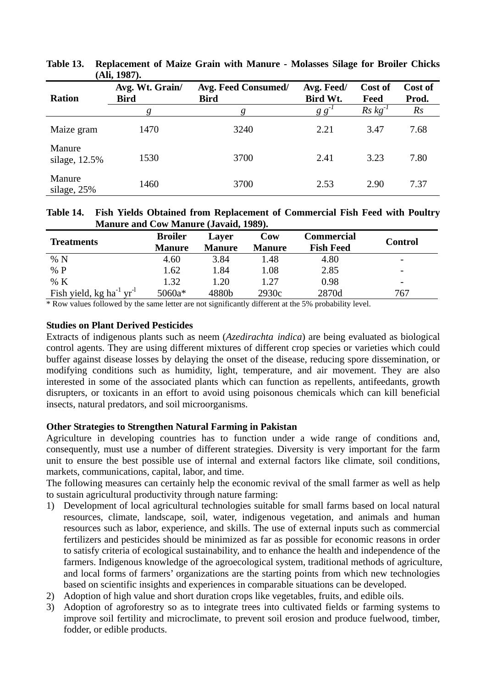| <b>Ration</b>           | Avg. Wt. Grain/<br><b>Bird</b> | <b>Avg. Feed Consumed/</b><br><b>Bird</b> | Avg. Feed/<br>Bird Wt. | Cost of<br>Feed | Cost of<br>Prod. |
|-------------------------|--------------------------------|-------------------------------------------|------------------------|-----------------|------------------|
|                         |                                |                                           | g g                    | $Rs\, kg^{-1}$  | Rs               |
| Maize gram              | 1470                           | 3240                                      | 2.21                   | 3.47            | 7.68             |
| Manure<br>silage, 12.5% | 1530                           | 3700                                      | 2.41                   | 3.23            | 7.80             |
| Manure<br>silage, $25%$ | 1460                           | 3700                                      | 2.53                   | 2.90            | 7.37             |

**Table 13. Replacement of Maize Grain with Manure - Molasses Silage for Broiler Chicks (Ali, 1987).** 

#### **Table 14. Fish Yields Obtained from Replacement of Commercial Fish Feed with Poultry Manure and Cow Manure (Javaid, 1989).**

| <b>Treatments</b>                                | <b>Broiler</b><br><b>Manure</b> | <b>Laver</b><br><b>Manure</b> | Cow<br><b>Manure</b> | Commercial<br><b>Fish Feed</b> | <b>Control</b>           |
|--------------------------------------------------|---------------------------------|-------------------------------|----------------------|--------------------------------|--------------------------|
| % N                                              | 4.60                            | 3.84                          | 1.48                 | 4.80                           | $\overline{\phantom{a}}$ |
| $\%$ P                                           | 1.62                            | 1.84                          | 1.08                 | 2.85                           | $\overline{\phantom{a}}$ |
| % K                                              | 1.32                            | 1.20                          | 1.27                 | 0.98                           | $\overline{\phantom{m}}$ |
| Fish yield, kg ha <sup>-1</sup> yr <sup>-1</sup> | 5060a*                          | 4880b                         | 2930c                | 2870d                          | 767                      |

\* Row values followed by the same letter are not significantly different at the 5% probability level.

## **Studies on Plant Derived Pesticides**

Extracts of indigenous plants such as neem (*Azedirachta indica*) are being evaluated as biological control agents. They are using different mixtures of different crop species or varieties which could buffer against disease losses by delaying the onset of the disease, reducing spore dissemination, or modifying conditions such as humidity, light, temperature, and air movement. They are also interested in some of the associated plants which can function as repellents, antifeedants, growth disrupters, or toxicants in an effort to avoid using poisonous chemicals which can kill beneficial insects, natural predators, and soil microorganisms.

## **Other Strategies to Strengthen Natural Farming in Pakistan**

Agriculture in developing countries has to function under a wide range of conditions and, consequently, must use a number of different strategies. Diversity is very important for the farm unit to ensure the best possible use of internal and external factors like climate, soil conditions, markets, communications, capital, labor, and time.

The following measures can certainly help the economic revival of the small farmer as well as help to sustain agricultural productivity through nature farming:

- 1) Development of local agricultural technologies suitable for small farms based on local natural resources, climate, landscape, soil, water, indigenous vegetation, and animals and human resources such as labor, experience, and skills. The use of external inputs such as commercial fertilizers and pesticides should be minimized as far as possible for economic reasons in order to satisfy criteria of ecological sustainability, and to enhance the health and independence of the farmers. Indigenous knowledge of the agroecological system, traditional methods of agriculture, and local forms of farmers' organizations are the starting points from which new technologies based on scientific insights and experiences in comparable situations can be developed.
- 2) Adoption of high value and short duration crops like vegetables, fruits, and edible oils.
- 3) Adoption of agroforestry so as to integrate trees into cultivated fields or farming systems to improve soil fertility and microclimate, to prevent soil erosion and produce fuelwood, timber, fodder, or edible products.